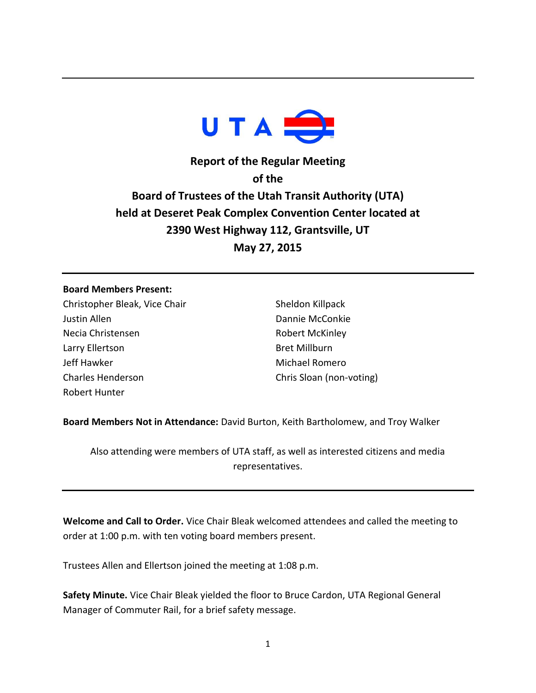

**Report of the Regular Meeting of the Board of Trustees of the Utah Transit Authority (UTA) held at Deseret Peak Complex Convention Center located at 2390 West Highway 112, Grantsville, UT May 27, 2015**

## **Board Members Present:**

Christopher Bleak, Vice Chair Justin Allen Necia Christensen Larry Ellertson Jeff Hawker Charles Henderson Robert Hunter

Sheldon Killpack Dannie McConkie Robert McKinley Bret Millburn Michael Romero Chris Sloan (non-voting)

**Board Members Not in Attendance:** David Burton, Keith Bartholomew, and Troy Walker

Also attending were members of UTA staff, as well as interested citizens and media representatives.

**Welcome and Call to Order.** Vice Chair Bleak welcomed attendees and called the meeting to order at 1:00 p.m. with ten voting board members present.

Trustees Allen and Ellertson joined the meeting at 1:08 p.m.

**Safety Minute.** Vice Chair Bleak yielded the floor to Bruce Cardon, UTA Regional General Manager of Commuter Rail, for a brief safety message.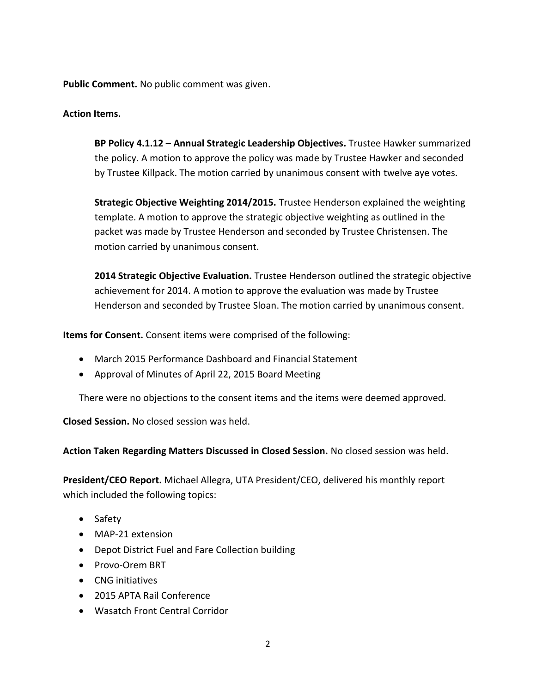**Public Comment.** No public comment was given.

## **Action Items.**

**BP Policy 4.1.12 – Annual Strategic Leadership Objectives.** Trustee Hawker summarized the policy. A motion to approve the policy was made by Trustee Hawker and seconded by Trustee Killpack. The motion carried by unanimous consent with twelve aye votes.

**Strategic Objective Weighting 2014/2015.** Trustee Henderson explained the weighting template. A motion to approve the strategic objective weighting as outlined in the packet was made by Trustee Henderson and seconded by Trustee Christensen. The motion carried by unanimous consent.

**2014 Strategic Objective Evaluation.** Trustee Henderson outlined the strategic objective achievement for 2014. A motion to approve the evaluation was made by Trustee Henderson and seconded by Trustee Sloan. The motion carried by unanimous consent.

**Items for Consent.** Consent items were comprised of the following:

- March 2015 Performance Dashboard and Financial Statement
- Approval of Minutes of April 22, 2015 Board Meeting

There were no objections to the consent items and the items were deemed approved.

**Closed Session.** No closed session was held.

**Action Taken Regarding Matters Discussed in Closed Session.** No closed session was held.

**President/CEO Report.** Michael Allegra, UTA President/CEO, delivered his monthly report which included the following topics:

- Safety
- MAP-21 extension
- Depot District Fuel and Fare Collection building
- Provo-Orem BRT
- CNG initiatives
- 2015 APTA Rail Conference
- Wasatch Front Central Corridor